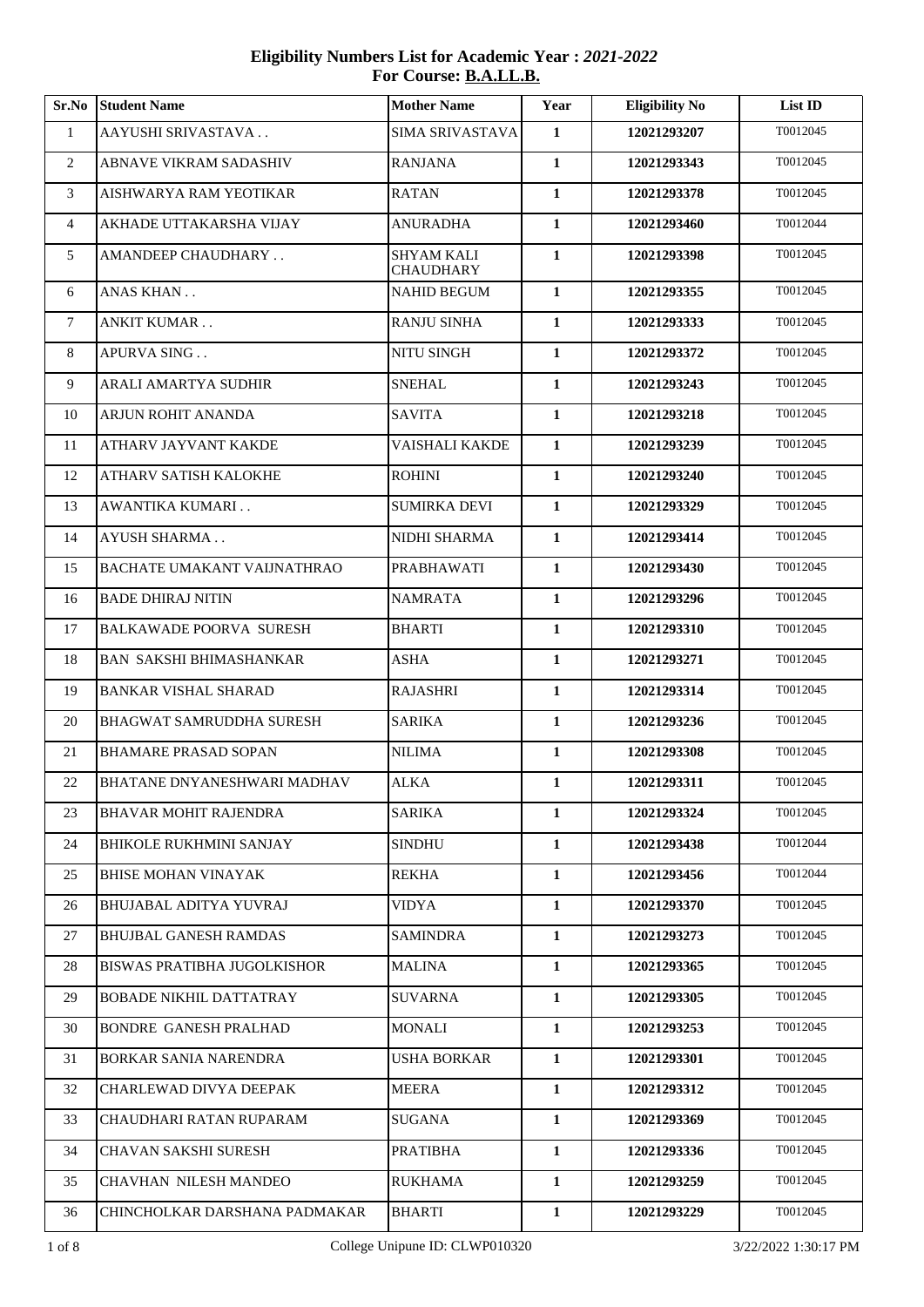**Eligibility Numbers List for Academic Year :** *2021-2022*  **For Course: B.A.LL.B.**

| Sr.No          | <b>Student Name</b>             | <b>Mother Name</b>                    | Year         | <b>Eligibility No</b> | List ID  |
|----------------|---------------------------------|---------------------------------------|--------------|-----------------------|----------|
| $\mathbf{1}$   | AAYUSHI SRIVASTAVA              | SIMA SRIVASTAVA                       | $\mathbf{1}$ | 12021293207           | T0012045 |
| $\overline{2}$ | ABNAVE VIKRAM SADASHIV          | <b>RANJANA</b>                        | $\mathbf{1}$ | 12021293343           | T0012045 |
| 3              | AISHWARYA RAM YEOTIKAR          | <b>RATAN</b>                          | $\mathbf{1}$ | 12021293378           | T0012045 |
| $\overline{4}$ | AKHADE UTTAKARSHA VIJAY         | <b>ANURADHA</b>                       | $\mathbf{1}$ | 12021293460           | T0012044 |
| 5              | <b>AMANDEEP CHAUDHARY</b>       | <b>SHYAM KALI</b><br><b>CHAUDHARY</b> | $\mathbf{1}$ | 12021293398           | T0012045 |
| 6              | <b>ANAS KHAN</b>                | <b>NAHID BEGUM</b>                    | $\mathbf{1}$ | 12021293355           | T0012045 |
| $\tau$         | <b>ANKIT KUMAR</b>              | <b>RANJU SINHA</b>                    | 1            | 12021293333           | T0012045 |
| 8              | APURVA SING                     | <b>NITU SINGH</b>                     | $\mathbf{1}$ | 12021293372           | T0012045 |
| 9              | <b>ARALI AMARTYA SUDHIR</b>     | <b>SNEHAL</b>                         | $\mathbf{1}$ | 12021293243           | T0012045 |
| 10             | ARJUN ROHIT ANANDA              | <b>SAVITA</b>                         | $\mathbf{1}$ | 12021293218           | T0012045 |
| 11             | ATHARV JAYVANT KAKDE            | VAISHALI KAKDE                        | $\mathbf{1}$ | 12021293239           | T0012045 |
| 12             | <b>ATHARV SATISH KALOKHE</b>    | <b>ROHINI</b>                         | $\mathbf{1}$ | 12021293240           | T0012045 |
| 13             | <b>AWANTIKA KUMARI</b>          | <b>SUMIRKA DEVI</b>                   | $\mathbf{1}$ | 12021293329           | T0012045 |
| 14             | <b>AYUSH SHARMA</b>             | NIDHI SHARMA                          | $\mathbf{1}$ | 12021293414           | T0012045 |
| 15             | BACHATE UMAKANT VAIJNATHRAO     | <b>PRABHAWATI</b>                     | $\mathbf{1}$ | 12021293430           | T0012045 |
| 16             | <b>BADE DHIRAJ NITIN</b>        | <b>NAMRATA</b>                        | $\mathbf{1}$ | 12021293296           | T0012045 |
| 17             | <b>BALKAWADE POORVA SURESH</b>  | <b>BHARTI</b>                         | 1            | 12021293310           | T0012045 |
| 18             | <b>BAN SAKSHI BHIMASHANKAR</b>  | <b>ASHA</b>                           | $\mathbf{1}$ | 12021293271           | T0012045 |
| 19             | <b>BANKAR VISHAL SHARAD</b>     | <b>RAJASHRI</b>                       | $\mathbf{1}$ | 12021293314           | T0012045 |
| 20             | <b>BHAGWAT SAMRUDDHA SURESH</b> | <b>SARIKA</b>                         | $\mathbf{1}$ | 12021293236           | T0012045 |
| 21             | <b>BHAMARE PRASAD SOPAN</b>     | <b>NILIMA</b>                         | $\mathbf{1}$ | 12021293308           | T0012045 |
| 22             | BHATANE DNYANESHWARI MADHAV     | ALKA                                  | $\mathbf{1}$ | 12021293311           | T0012045 |
| 23             | BHAVAR MOHIT RAJENDRA           | <b>SARIKA</b>                         | 1            | 12021293324           | T0012045 |
| 24             | BHIKOLE RUKHMINI SANJAY         | SINDHU                                | 1            | 12021293438           | T0012044 |
| 25             | <b>BHISE MOHAN VINAYAK</b>      | <b>REKHA</b>                          | 1            | 12021293456           | T0012044 |
| 26             | <b>BHUJABAL ADITYA YUVRAJ</b>   | <b>VIDYA</b>                          | $\mathbf{1}$ | 12021293370           | T0012045 |
| 27             | <b>BHUJBAL GANESH RAMDAS</b>    | <b>SAMINDRA</b>                       | $\mathbf{1}$ | 12021293273           | T0012045 |
| 28             | BISWAS PRATIBHA JUGOLKISHOR     | <b>MALINA</b>                         | 1            | 12021293365           | T0012045 |
| 29             | <b>BOBADE NIKHIL DATTATRAY</b>  | <b>SUVARNA</b>                        | $\mathbf{1}$ | 12021293305           | T0012045 |
| 30             | BONDRE GANESH PRALHAD           | <b>MONALI</b>                         | $\mathbf{1}$ | 12021293253           | T0012045 |
| 31             | <b>BORKAR SANIA NARENDRA</b>    | <b>USHA BORKAR</b>                    | 1            | 12021293301           | T0012045 |
| 32             | CHARLEWAD DIVYA DEEPAK          | <b>MEERA</b>                          | $\mathbf{1}$ | 12021293312           | T0012045 |
| 33             | CHAUDHARI RATAN RUPARAM         | <b>SUGANA</b>                         | $\mathbf{1}$ | 12021293369           | T0012045 |
| 34             | CHAVAN SAKSHI SURESH            | <b>PRATIBHA</b>                       | 1            | 12021293336           | T0012045 |
| 35             | CHAVHAN NILESH MANDEO           | <b>RUKHAMA</b>                        | 1            | 12021293259           | T0012045 |
| 36             | CHINCHOLKAR DARSHANA PADMAKAR   | <b>BHARTI</b>                         | $\mathbf{1}$ | 12021293229           | T0012045 |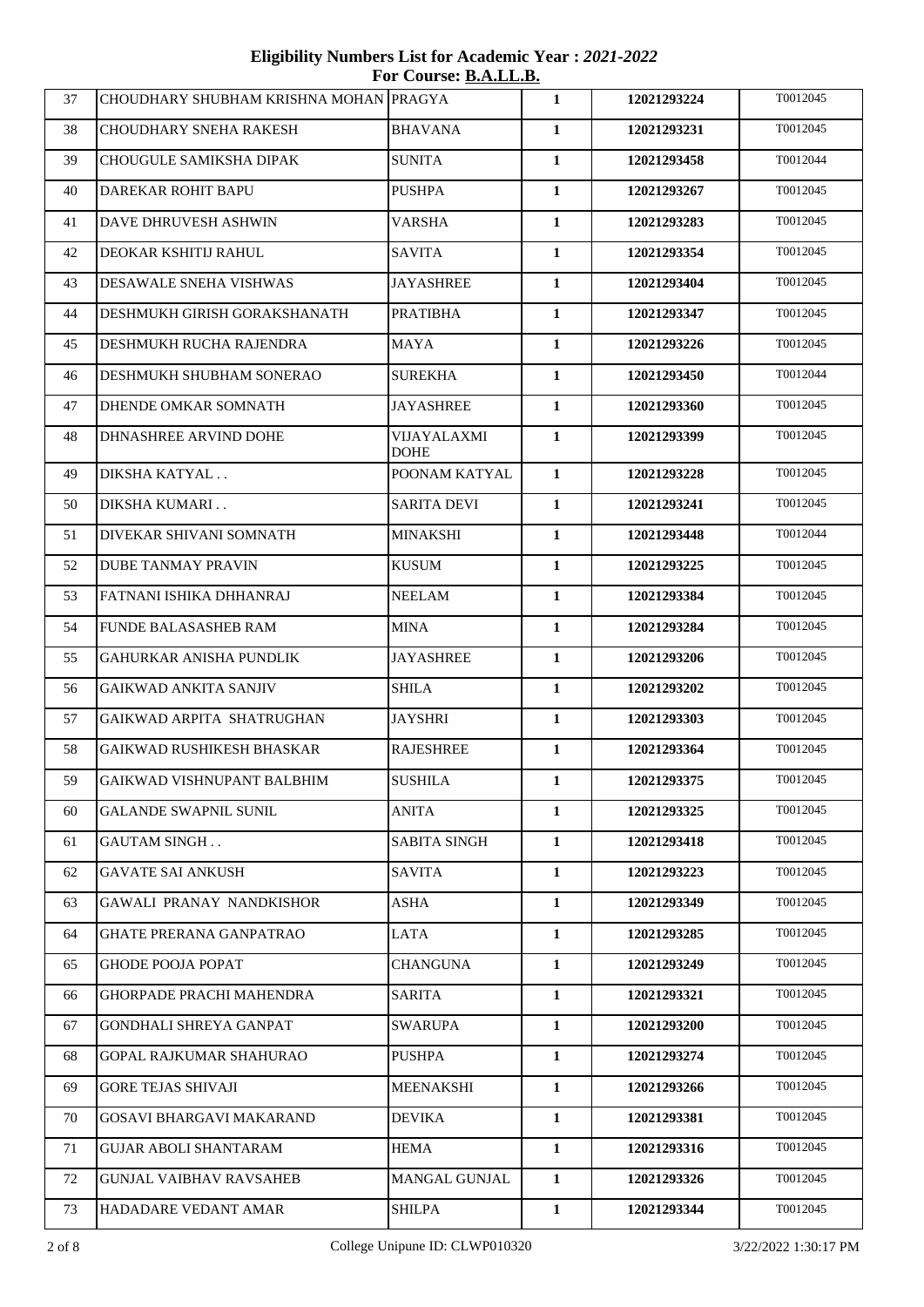**Eligibility Numbers List for Academic Year :** *2021-2022*  **For Course: B.A.LL.B.**

| 37 | CHOUDHARY SHUBHAM KRISHNA MOHAN PRAGYA |                            | $\mathbf{1}$ | 12021293224 | T0012045 |
|----|----------------------------------------|----------------------------|--------------|-------------|----------|
| 38 | <b>CHOUDHARY SNEHA RAKESH</b>          | <b>BHAVANA</b>             | $\mathbf{1}$ | 12021293231 | T0012045 |
| 39 | CHOUGULE SAMIKSHA DIPAK                | <b>SUNITA</b>              | $\mathbf{1}$ | 12021293458 | T0012044 |
| 40 | <b>DAREKAR ROHIT BAPU</b>              | <b>PUSHPA</b>              | 1            | 12021293267 | T0012045 |
| 41 | DAVE DHRUVESH ASHWIN                   | <b>VARSHA</b>              | $\mathbf{1}$ | 12021293283 | T0012045 |
| 42 | DEOKAR KSHITIJ RAHUL                   | <b>SAVITA</b>              | $\mathbf{1}$ | 12021293354 | T0012045 |
| 43 | DESAWALE SNEHA VISHWAS                 | <b>JAYASHREE</b>           | 1            | 12021293404 | T0012045 |
| 44 | DESHMUKH GIRISH GORAKSHANATH           | <b>PRATIBHA</b>            | $\mathbf{1}$ | 12021293347 | T0012045 |
| 45 | DESHMUKH RUCHA RAJENDRA                | <b>MAYA</b>                | $\mathbf{1}$ | 12021293226 | T0012045 |
| 46 | DESHMUKH SHUBHAM SONERAO               | <b>SUREKHA</b>             | 1            | 12021293450 | T0012044 |
| 47 | DHENDE OMKAR SOMNATH                   | <b>JAYASHREE</b>           | $\mathbf{1}$ | 12021293360 | T0012045 |
| 48 | DHNASHREE ARVIND DOHE                  | VIJAYALAXMI<br><b>DOHE</b> | $\mathbf{1}$ | 12021293399 | T0012045 |
| 49 | DIKSHA KATYAL                          | POONAM KATYAL              | $\mathbf{1}$ | 12021293228 | T0012045 |
| 50 | DIKSHA KUMARI                          | <b>SARITA DEVI</b>         | $\mathbf{1}$ | 12021293241 | T0012045 |
| 51 | DIVEKAR SHIVANI SOMNATH                | <b>MINAKSHI</b>            | 1            | 12021293448 | T0012044 |
| 52 | <b>DUBE TANMAY PRAVIN</b>              | <b>KUSUM</b>               | $\mathbf{1}$ | 12021293225 | T0012045 |
| 53 | FATNANI ISHIKA DHHANRAJ                | <b>NEELAM</b>              | $\mathbf{1}$ | 12021293384 | T0012045 |
| 54 | FUNDE BALASASHEB RAM                   | <b>MINA</b>                | $\mathbf{1}$ | 12021293284 | T0012045 |
| 55 | <b>GAHURKAR ANISHA PUNDLIK</b>         | <b>JAYASHREE</b>           | $\mathbf{1}$ | 12021293206 | T0012045 |
| 56 | <b>GAIKWAD ANKITA SANJIV</b>           | <b>SHILA</b>               | $\mathbf{1}$ | 12021293202 | T0012045 |
| 57 | <b>GAIKWAD ARPITA SHATRUGHAN</b>       | <b>JAYSHRI</b>             | $\mathbf{1}$ | 12021293303 | T0012045 |
| 58 | <b>GAIKWAD RUSHIKESH BHASKAR</b>       | <b>RAJESHREE</b>           | 1            | 12021293364 | T0012045 |
| 59 | GAIKWAD VISHNUPANT BALBHIM             | <b>SUSHILA</b>             | 1            | 12021293375 | T0012045 |
| 60 | <b>GALANDE SWAPNIL SUNIL</b>           | <b>ANITA</b>               | $\mathbf{1}$ | 12021293325 | T0012045 |
| 61 | GAUTAM SINGH                           | <b>SABITA SINGH</b>        | 1            | 12021293418 | T0012045 |
| 62 | <b>GAVATE SAI ANKUSH</b>               | <b>SAVITA</b>              | $\mathbf{1}$ | 12021293223 | T0012045 |
| 63 | GAWALI PRANAY NANDKISHOR               | <b>ASHA</b>                | 1            | 12021293349 | T0012045 |
| 64 | <b>GHATE PRERANA GANPATRAO</b>         | <b>LATA</b>                | 1            | 12021293285 | T0012045 |
| 65 | GHODE POOJA POPAT                      | CHANGUNA                   | 1            | 12021293249 | T0012045 |
| 66 | GHORPADE PRACHI MAHENDRA               | <b>SARITA</b>              | $\mathbf{1}$ | 12021293321 | T0012045 |
| 67 | GONDHALI SHREYA GANPAT                 | <b>SWARUPA</b>             | $\mathbf{1}$ | 12021293200 | T0012045 |
| 68 | GOPAL RAJKUMAR SHAHURAO                | <b>PUSHPA</b>              | 1            | 12021293274 | T0012045 |
| 69 | <b>GORE TEJAS SHIVAJI</b>              | <b>MEENAKSHI</b>           | 1            | 12021293266 | T0012045 |
| 70 | GOSAVI BHARGAVI MAKARAND               | <b>DEVIKA</b>              | $\mathbf{1}$ | 12021293381 | T0012045 |
| 71 | GUJAR ABOLI SHANTARAM                  | <b>HEMA</b>                | $\mathbf{1}$ | 12021293316 | T0012045 |
| 72 | <b>GUNJAL VAIBHAV RAVSAHEB</b>         | <b>MANGAL GUNJAL</b>       | 1            | 12021293326 | T0012045 |
| 73 | HADADARE VEDANT AMAR                   | <b>SHILPA</b>              | $\mathbf{1}$ | 12021293344 | T0012045 |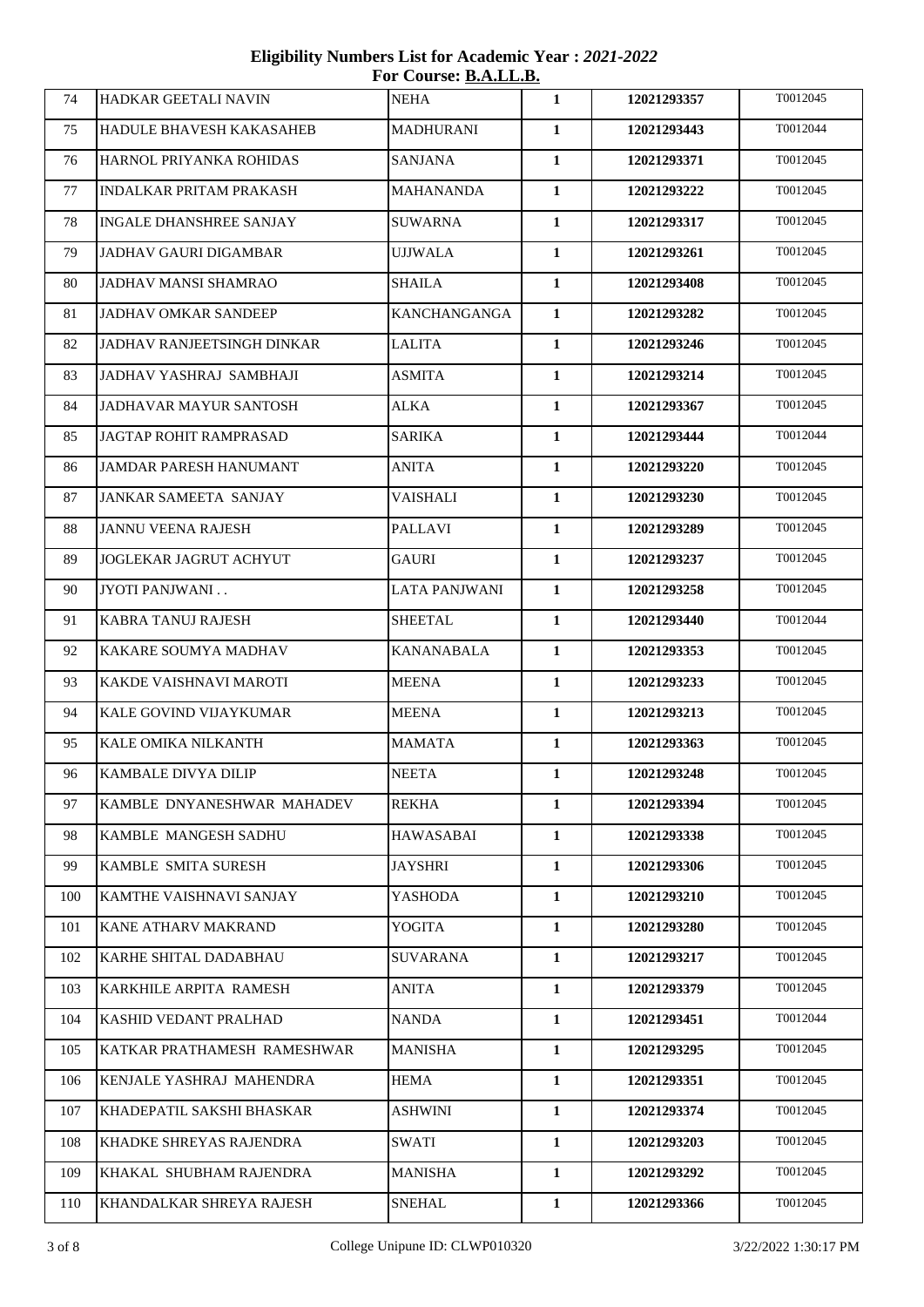**Eligibility Numbers List for Academic Year :** *2021-2022*  **For Course: B.A.LL.B.**

| 74  | HADKAR GEETALI NAVIN           | <b>NEHA</b>       | 1            | 12021293357 | T0012045 |
|-----|--------------------------------|-------------------|--------------|-------------|----------|
| 75  | HADULE BHAVESH KAKASAHEB       | <b>MADHURANI</b>  | 1            | 12021293443 | T0012044 |
| 76  | HARNOL PRIYANKA ROHIDAS        | <b>SANJANA</b>    | $\mathbf{1}$ | 12021293371 | T0012045 |
| 77  | <b>INDALKAR PRITAM PRAKASH</b> | <b>MAHANANDA</b>  | $\mathbf{1}$ | 12021293222 | T0012045 |
| 78  | INGALE DHANSHREE SANJAY        | <b>SUWARNA</b>    | $\mathbf{1}$ | 12021293317 | T0012045 |
| 79  | <b>JADHAV GAURI DIGAMBAR</b>   | <b>UJJWALA</b>    | $\mathbf{1}$ | 12021293261 | T0012045 |
| 80  | JADHAV MANSI SHAMRAO           | <b>SHAILA</b>     | 1            | 12021293408 | T0012045 |
| 81  | JADHAV OMKAR SANDEEP           | KANCHANGANGA      | $\mathbf{1}$ | 12021293282 | T0012045 |
| 82  | JADHAV RANJEETSINGH DINKAR     | <b>LALITA</b>     | $\mathbf{1}$ | 12021293246 | T0012045 |
| 83  | JADHAV YASHRAJ SAMBHAJI        | <b>ASMITA</b>     | $\mathbf{1}$ | 12021293214 | T0012045 |
| 84  | JADHAVAR MAYUR SANTOSH         | ALKA              | $\mathbf{1}$ | 12021293367 | T0012045 |
| 85  | JAGTAP ROHIT RAMPRASAD         | <b>SARIKA</b>     | 1            | 12021293444 | T0012044 |
| 86  | JAMDAR PARESH HANUMANT         | <b>ANITA</b>      | $\mathbf{1}$ | 12021293220 | T0012045 |
| 87  | JANKAR SAMEETA SANJAY          | <b>VAISHALI</b>   | $\mathbf{1}$ | 12021293230 | T0012045 |
| 88  | <b>JANNU VEENA RAJESH</b>      | <b>PALLAVI</b>    | $\mathbf{1}$ | 12021293289 | T0012045 |
| 89  | JOGLEKAR JAGRUT ACHYUT         | GAURI             | 1            | 12021293237 | T0012045 |
| 90  | JYOTI PANJWANI                 | LATA PANJWANI     | $\mathbf{1}$ | 12021293258 | T0012045 |
| 91  | KABRA TANUJ RAJESH             | SHEETAL           | $\mathbf{1}$ | 12021293440 | T0012044 |
| 92  | KAKARE SOUMYA MADHAV           | <b>KANANABALA</b> | 1            | 12021293353 | T0012045 |
| 93  | KAKDE VAISHNAVI MAROTI         | <b>MEENA</b>      | $\mathbf{1}$ | 12021293233 | T0012045 |
| 94  | KALE GOVIND VIJAYKUMAR         | <b>MEENA</b>      | $\mathbf{1}$ | 12021293213 | T0012045 |
| 95  | KALE OMIKA NILKANTH            | <b>MAMATA</b>     | $\mathbf{1}$ | 12021293363 | T0012045 |
| 96  | KAMBALE DIVYA DILIP            | <b>NEETA</b>      | $\mathbf{1}$ | 12021293248 | T0012045 |
| 97  | KAMBLE DNYANESHWAR MAHADEV     | REKHA             | 1            | 12021293394 | T0012045 |
| 98  | KAMBLE MANGESH SADHU           | <b>HAWASABAI</b>  | $\mathbf{1}$ | 12021293338 | T0012045 |
| 99  | KAMBLE SMITA SURESH            | <b>JAYSHRI</b>    | $\mathbf{1}$ | 12021293306 | T0012045 |
| 100 | KAMTHE VAISHNAVI SANJAY        | <b>YASHODA</b>    | $\mathbf{1}$ | 12021293210 | T0012045 |
| 101 | KANE ATHARV MAKRAND            | YOGITA            | $\mathbf{1}$ | 12021293280 | T0012045 |
| 102 | KARHE SHITAL DADABHAU          | SUVARANA          | 1            | 12021293217 | T0012045 |
| 103 | KARKHILE ARPITA RAMESH         | ANITA             | $\mathbf{1}$ | 12021293379 | T0012045 |
| 104 | KASHID VEDANT PRALHAD          | <b>NANDA</b>      | 1            | 12021293451 | T0012044 |
| 105 | KATKAR PRATHAMESH RAMESHWAR    | MANISHA           | 1            | 12021293295 | T0012045 |
| 106 | KENJALE YASHRAJ MAHENDRA       | <b>HEMA</b>       | $\mathbf{1}$ | 12021293351 | T0012045 |
| 107 | KHADEPATIL SAKSHI BHASKAR      | ASHWINI           | $\mathbf{1}$ | 12021293374 | T0012045 |
| 108 | KHADKE SHREYAS RAJENDRA        | SWATI             | $\mathbf{1}$ | 12021293203 | T0012045 |
| 109 | KHAKAL SHUBHAM RAJENDRA        | MANISHA           | 1            | 12021293292 | T0012045 |
| 110 | KHANDALKAR SHREYA RAJESH       | <b>SNEHAL</b>     | 1            | 12021293366 | T0012045 |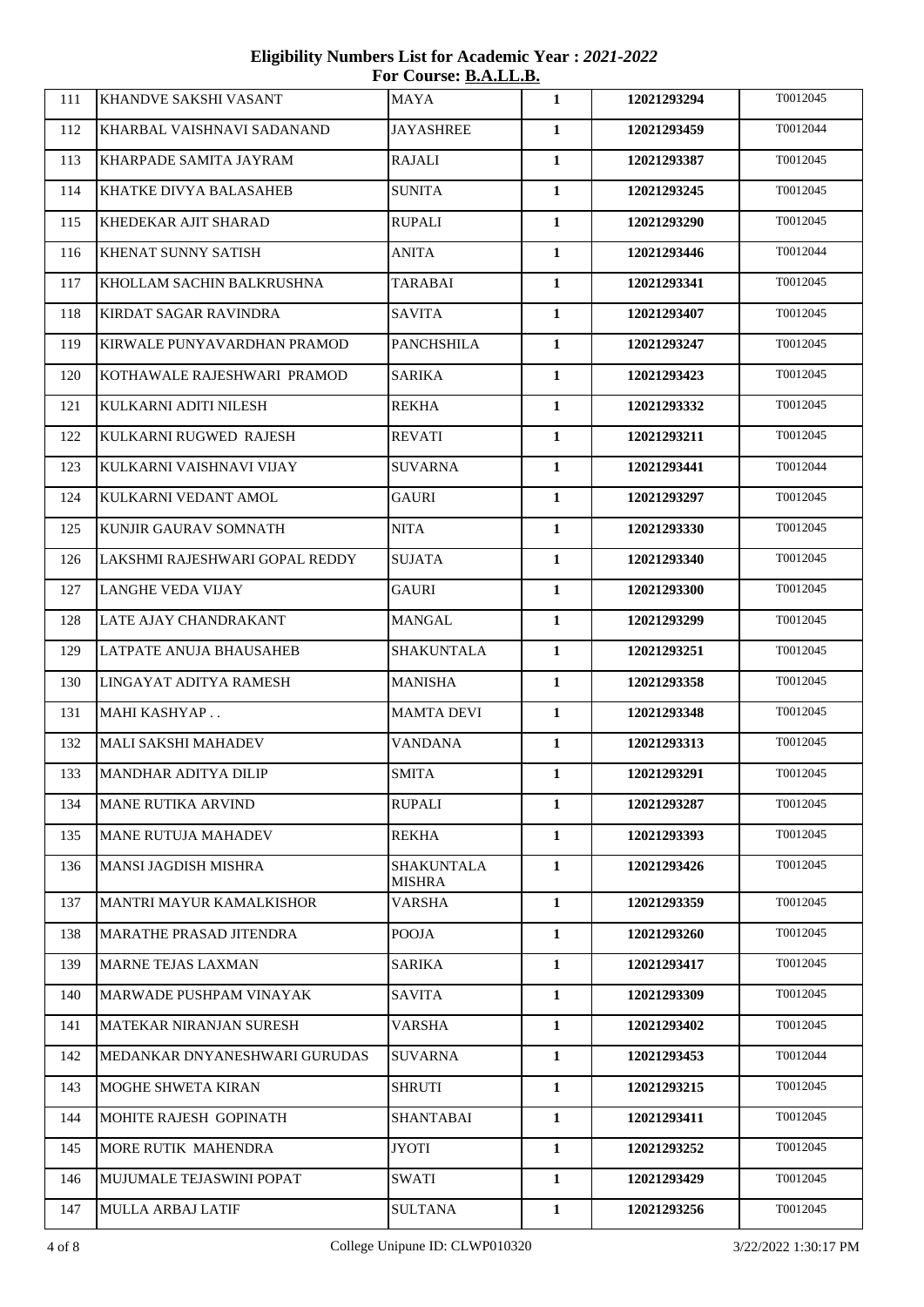**Eligibility Numbers List for Academic Year :** *2021-2022*  **For Course: B.A.LL.B.**

| 111 | KHANDVE SAKSHI VASANT           | <b>MAYA</b>                 | -1           | 12021293294 | T0012045 |
|-----|---------------------------------|-----------------------------|--------------|-------------|----------|
| 112 | KHARBAL VAISHNAVI SADANAND      | <b>JAYASHREE</b>            | $\mathbf{1}$ | 12021293459 | T0012044 |
| 113 | KHARPADE SAMITA JAYRAM          | <b>RAJALI</b>               | $\mathbf{1}$ | 12021293387 | T0012045 |
| 114 | KHATKE DIVYA BALASAHEB          | <b>SUNITA</b>               | $\mathbf{1}$ | 12021293245 | T0012045 |
| 115 | KHEDEKAR AJIT SHARAD            | <b>RUPALI</b>               | $\mathbf{1}$ | 12021293290 | T0012045 |
| 116 | KHENAT SUNNY SATISH             | <b>ANITA</b>                | 1            | 12021293446 | T0012044 |
| 117 | KHOLLAM SACHIN BALKRUSHNA       | TARABAI                     | $\mathbf{1}$ | 12021293341 | T0012045 |
| 118 | KIRDAT SAGAR RAVINDRA           | <b>SAVITA</b>               | $\mathbf{1}$ | 12021293407 | T0012045 |
| 119 | KIRWALE PUNYAVARDHAN PRAMOD     | <b>PANCHSHILA</b>           | $\mathbf{1}$ | 12021293247 | T0012045 |
| 120 | KOTHAWALE RAJESHWARI PRAMOD     | <b>SARIKA</b>               | $\mathbf{1}$ | 12021293423 | T0012045 |
| 121 | KULKARNI ADITI NILESH           | <b>REKHA</b>                | 1            | 12021293332 | T0012045 |
| 122 | KULKARNI RUGWED RAJESH          | <b>REVATI</b>               | $\mathbf{1}$ | 12021293211 | T0012045 |
| 123 | KULKARNI VAISHNAVI VIJAY        | <b>SUVARNA</b>              | 1            | 12021293441 | T0012044 |
| 124 | KULKARNI VEDANT AMOL            | GAURI                       | $\mathbf{1}$ | 12021293297 | T0012045 |
| 125 | KUNJIR GAURAV SOMNATH           | <b>NITA</b>                 | $\mathbf{1}$ | 12021293330 | T0012045 |
| 126 | LAKSHMI RAJESHWARI GOPAL REDDY  | <b>SUJATA</b>               | 1            | 12021293340 | T0012045 |
| 127 | LANGHE VEDA VIJAY               | <b>GAURI</b>                | $\mathbf{1}$ | 12021293300 | T0012045 |
| 128 | LATE AJAY CHANDRAKANT           | <b>MANGAL</b>               | $\mathbf{1}$ | 12021293299 | T0012045 |
| 129 | LATPATE ANUJA BHAUSAHEB         | SHAKUNTALA                  | $\mathbf{1}$ | 12021293251 | T0012045 |
| 130 | LINGAYAT ADITYA RAMESH          | <b>MANISHA</b>              | 1            | 12021293358 | T0012045 |
| 131 | <b>MAHI KASHYAP</b>             | <b>MAMTA DEVI</b>           | $\mathbf{1}$ | 12021293348 | T0012045 |
| 132 | <b>MALI SAKSHI MAHADEV</b>      | <b>VANDANA</b>              | $\mathbf{1}$ | 12021293313 | T0012045 |
| 133 | MANDHAR ADITYA DILIP            | <b>SMITA</b>                | 1            | 12021293291 | T0012045 |
| 134 | <b>MANE RUTIKA ARVIND</b>       | <b>RUPALI</b>               | $\mathbf{1}$ | 12021293287 | T0012045 |
| 135 | <b>MANE RUTUJA MAHADEV</b>      | <b>REKHA</b>                | $\mathbf{1}$ | 12021293393 | T0012045 |
| 136 | <b>MANSI JAGDISH MISHRA</b>     | SHAKUNTALA<br><b>MISHRA</b> | 1            | 12021293426 | T0012045 |
| 137 | <b>MANTRI MAYUR KAMALKISHOR</b> | <b>VARSHA</b>               | 1            | 12021293359 | T0012045 |
| 138 | <b>MARATHE PRASAD JITENDRA</b>  | <b>POOJA</b>                | 1            | 12021293260 | T0012045 |
| 139 | MARNE TEJAS LAXMAN              | SARIKA                      | 1            | 12021293417 | T0012045 |
| 140 | MARWADE PUSHPAM VINAYAK         | <b>SAVITA</b>               | $\mathbf{1}$ | 12021293309 | T0012045 |
| 141 | MATEKAR NIRANJAN SURESH         | <b>VARSHA</b>               | 1            | 12021293402 | T0012045 |
| 142 | MEDANKAR DNYANESHWARI GURUDAS   | <b>SUVARNA</b>              | $\mathbf{1}$ | 12021293453 | T0012044 |
| 143 | MOGHE SHWETA KIRAN              | <b>SHRUTI</b>               | $\mathbf{1}$ | 12021293215 | T0012045 |
| 144 | MOHITE RAJESH GOPINATH          | SHANTABAI                   | 1            | 12021293411 | T0012045 |
| 145 | MORE RUTIK MAHENDRA             | <b>JYOTI</b>                | 1            | 12021293252 | T0012045 |
| 146 | MUJUMALE TEJASWINI POPAT        | <b>SWATI</b>                | $\mathbf{1}$ | 12021293429 | T0012045 |
| 147 | <b>MULLA ARBAJ LATIF</b>        | <b>SULTANA</b>              | $\mathbf{1}$ | 12021293256 | T0012045 |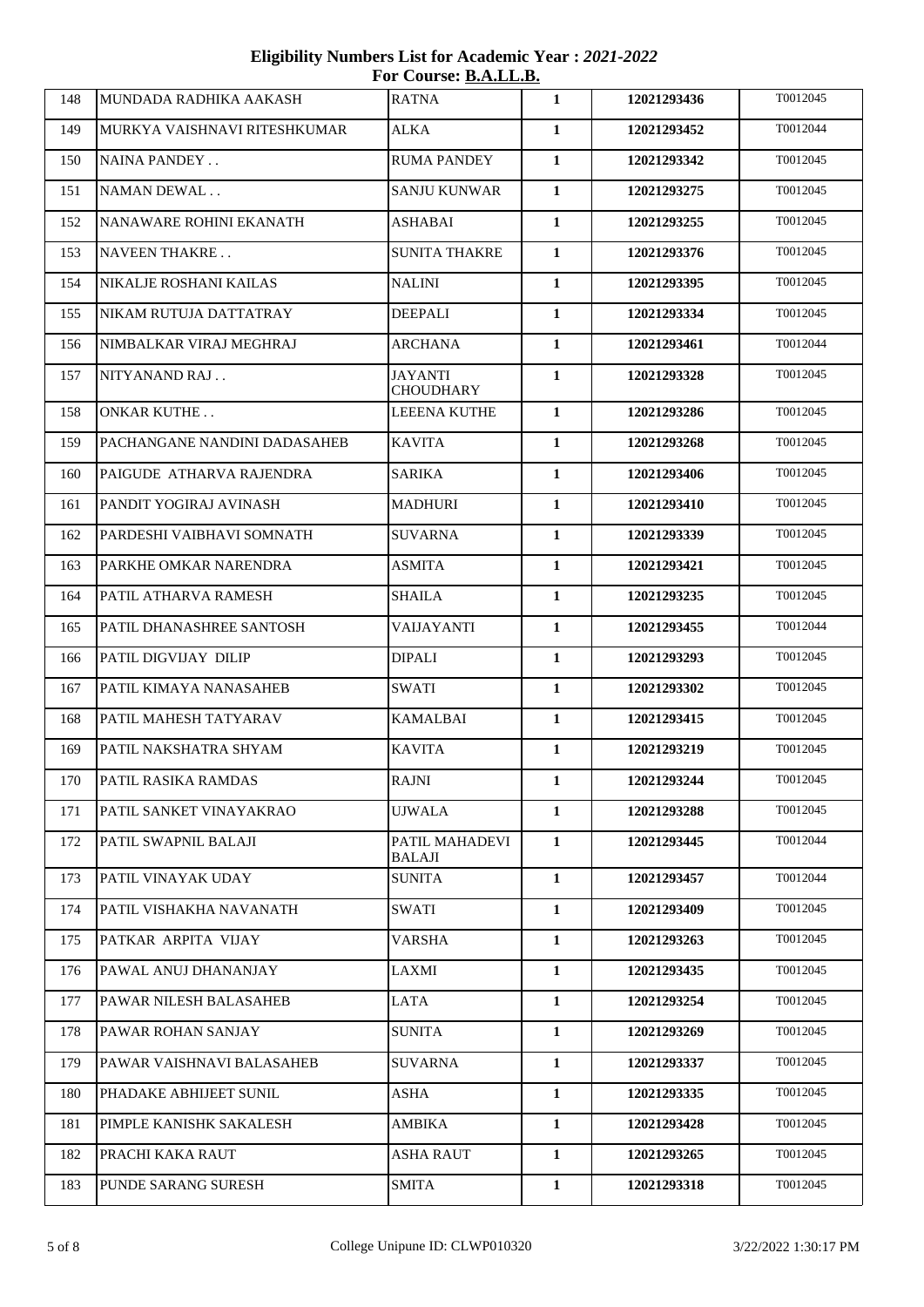|                       | <b>Eligibility Numbers List for Academic Year: 2021-2022</b> |  |
|-----------------------|--------------------------------------------------------------|--|
| For Course: B.A.LL.B. |                                                              |  |

| 148 | MUNDADA RADHIKA AAKASH       | <b>RATNA</b>                       | 1            | 12021293436 | T0012045 |
|-----|------------------------------|------------------------------------|--------------|-------------|----------|
| 149 | MURKYA VAISHNAVI RITESHKUMAR | <b>ALKA</b>                        | 1            | 12021293452 | T0012044 |
| 150 | <b>NAINA PANDEY</b>          | <b>RUMA PANDEY</b>                 | $\mathbf{1}$ | 12021293342 | T0012045 |
| 151 | NAMAN DEWAL                  | <b>SANJU KUNWAR</b>                | $\mathbf{1}$ | 12021293275 | T0012045 |
| 152 | NANAWARE ROHINI EKANATH      | ASHABAI                            | 1            | 12021293255 | T0012045 |
| 153 | <b>NAVEEN THAKRE</b>         | <b>SUNITA THAKRE</b>               | $\mathbf{1}$ | 12021293376 | T0012045 |
| 154 | NIKALJE ROSHANI KAILAS       | <b>NALINI</b>                      | $\mathbf{1}$ | 12021293395 | T0012045 |
| 155 | NIKAM RUTUJA DATTATRAY       | <b>DEEPALI</b>                     | $\mathbf{1}$ | 12021293334 | T0012045 |
| 156 | NIMBALKAR VIRAJ MEGHRAJ      | <b>ARCHANA</b>                     | $\mathbf{1}$ | 12021293461 | T0012044 |
| 157 | NITYANAND RAJ                | <b>JAYANTI</b><br><b>CHOUDHARY</b> | $\mathbf{1}$ | 12021293328 | T0012045 |
| 158 | <b>ONKAR KUTHE</b>           | <b>LEEENA KUTHE</b>                | $\mathbf{1}$ | 12021293286 | T0012045 |
| 159 | PACHANGANE NANDINI DADASAHEB | <b>KAVITA</b>                      | $\mathbf{1}$ | 12021293268 | T0012045 |
| 160 | PAIGUDE ATHARVA RAJENDRA     | <b>SARIKA</b>                      | 1            | 12021293406 | T0012045 |
| 161 | PANDIT YOGIRAJ AVINASH       | <b>MADHURI</b>                     | $\mathbf{1}$ | 12021293410 | T0012045 |
| 162 | PARDESHI VAIBHAVI SOMNATH    | <b>SUVARNA</b>                     | $\mathbf{1}$ | 12021293339 | T0012045 |
| 163 | PARKHE OMKAR NARENDRA        | <b>ASMITA</b>                      | $\mathbf{1}$ | 12021293421 | T0012045 |
| 164 | PATIL ATHARVA RAMESH         | <b>SHAILA</b>                      | $\mathbf{1}$ | 12021293235 | T0012045 |
| 165 | PATIL DHANASHREE SANTOSH     | VAIJAYANTI                         | $\mathbf{1}$ | 12021293455 | T0012044 |
| 166 | PATIL DIGVIJAY DILIP         | <b>DIPALI</b>                      | $\mathbf{1}$ | 12021293293 | T0012045 |
| 167 | PATIL KIMAYA NANASAHEB       | SWATI                              | 1            | 12021293302 | T0012045 |
| 168 | PATIL MAHESH TATYARAV        | <b>KAMALBAI</b>                    | $\mathbf{1}$ | 12021293415 | T0012045 |
| 169 | PATIL NAKSHATRA SHYAM        | <b>KAVITA</b>                      | $\mathbf{1}$ | 12021293219 | T0012045 |
| 170 | PATIL RASIKA RAMDAS          | <b>RAJNI</b>                       | 1            | 12021293244 | T0012045 |
| 171 | PATIL SANKET VINAYAKRAO      | <b>UJWALA</b>                      | 1            | 12021293288 | T0012045 |
| 172 | PATIL SWAPNIL BALAJI         | PATIL MAHADEVI<br><b>BALAJI</b>    | 1            | 12021293445 | T0012044 |
| 173 | PATIL VINAYAK UDAY           | <b>SUNITA</b>                      | $\mathbf{1}$ | 12021293457 | T0012044 |
| 174 | PATIL VISHAKHA NAVANATH      | SWATI                              | $\mathbf{1}$ | 12021293409 | T0012045 |
| 175 | PATKAR ARPITA VIJAY          | <b>VARSHA</b>                      | 1            | 12021293263 | T0012045 |
| 176 | PAWAL ANUJ DHANANJAY         | LAXMI                              | $\mathbf{1}$ | 12021293435 | T0012045 |
| 177 | PAWAR NILESH BALASAHEB       | LATA                               | $\mathbf{1}$ | 12021293254 | T0012045 |
| 178 | PAWAR ROHAN SANJAY           | <b>SUNITA</b>                      | 1            | 12021293269 | T0012045 |
| 179 | PAWAR VAISHNAVI BALASAHEB    | <b>SUVARNA</b>                     | $\mathbf{1}$ | 12021293337 | T0012045 |
| 180 | PHADAKE ABHIJEET SUNIL       | ASHA                               | 1            | 12021293335 | T0012045 |
| 181 | PIMPLE KANISHK SAKALESH      | AMBIKA                             | 1            | 12021293428 | T0012045 |
| 182 | PRACHI KAKA RAUT             | <b>ASHA RAUT</b>                   | $\mathbf{1}$ | 12021293265 | T0012045 |
| 183 | PUNDE SARANG SURESH          | <b>SMITA</b>                       | $\mathbf{1}$ | 12021293318 | T0012045 |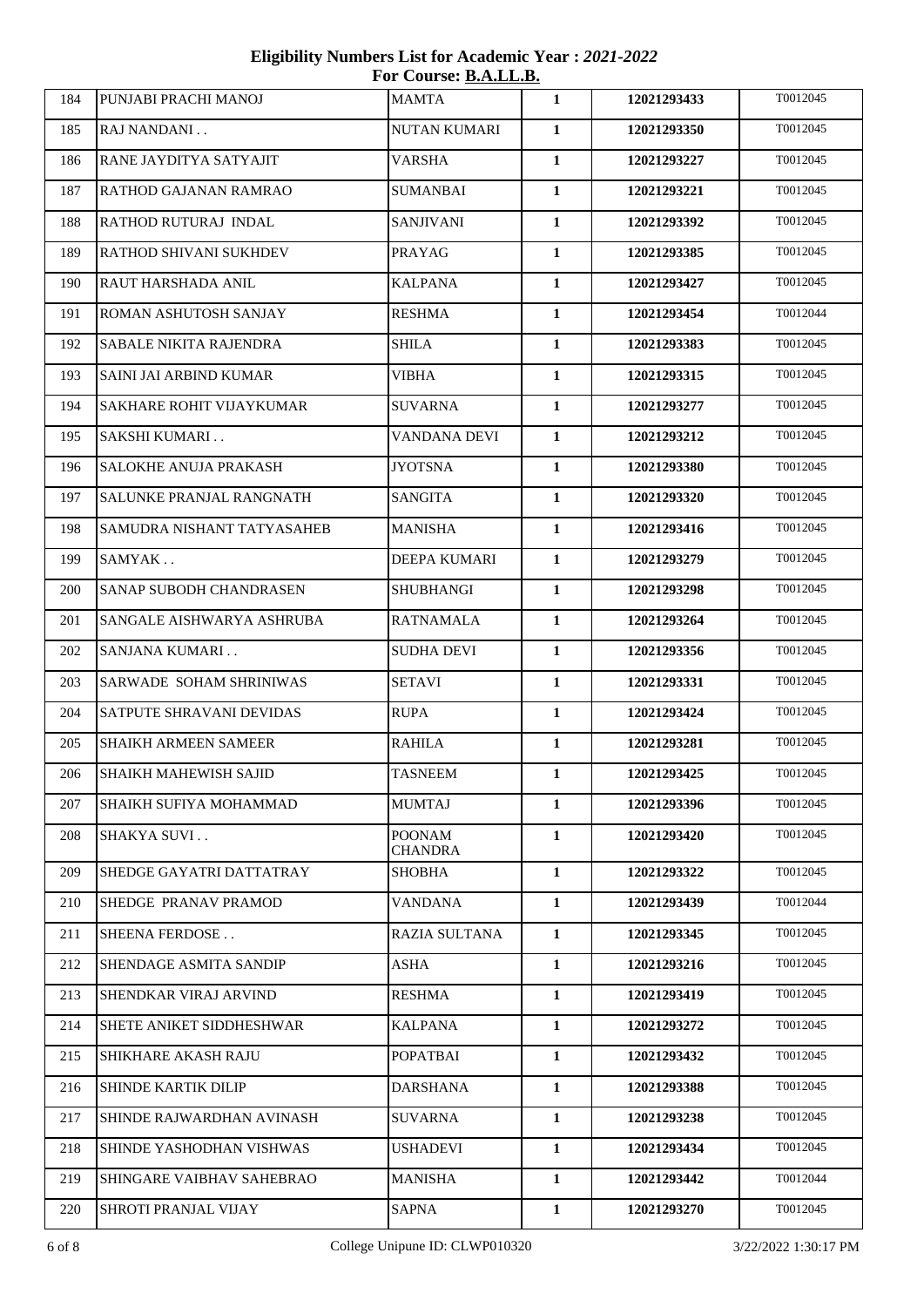**Eligibility Numbers List for Academic Year :** *2021-2022*  **For Course: B.A.LL.B.**

| 184 | PUNJABI PRACHI MANOJ          | <b>MAMTA</b>                    | 1            | 12021293433 | T0012045 |
|-----|-------------------------------|---------------------------------|--------------|-------------|----------|
| 185 | RAJ NANDANI                   | <b>NUTAN KUMARI</b>             | $\mathbf{1}$ | 12021293350 | T0012045 |
| 186 | RANE JAYDITYA SATYAJIT        | <b>VARSHA</b>                   | $\mathbf{1}$ | 12021293227 | T0012045 |
| 187 | RATHOD GAJANAN RAMRAO         | <b>SUMANBAI</b>                 | $\mathbf{1}$ | 12021293221 | T0012045 |
| 188 | RATHOD RUTURAJ INDAL          | <b>SANJIVANI</b>                | $\mathbf{1}$ | 12021293392 | T0012045 |
| 189 | RATHOD SHIVANI SUKHDEV        | PRAYAG                          | 1            | 12021293385 | T0012045 |
| 190 | RAUT HARSHADA ANIL            | <b>KALPANA</b>                  | $\mathbf{1}$ | 12021293427 | T0012045 |
| 191 | ROMAN ASHUTOSH SANJAY         | <b>RESHMA</b>                   | $\mathbf{1}$ | 12021293454 | T0012044 |
| 192 | <b>SABALE NIKITA RAJENDRA</b> | <b>SHILA</b>                    | $\mathbf{1}$ | 12021293383 | T0012045 |
| 193 | SAINI JAI ARBIND KUMAR        | <b>VIBHA</b>                    | $\mathbf{1}$ | 12021293315 | T0012045 |
| 194 | SAKHARE ROHIT VIJAYKUMAR      | SUVARNA                         | 1            | 12021293277 | T0012045 |
| 195 | SAKSHI KUMARI                 | VANDANA DEVI                    | $\mathbf{1}$ | 12021293212 | T0012045 |
| 196 | <b>SALOKHE ANUJA PRAKASH</b>  | <b>JYOTSNA</b>                  | 1            | 12021293380 | T0012045 |
| 197 | SALUNKE PRANJAL RANGNATH      | <b>SANGITA</b>                  | $\mathbf{1}$ | 12021293320 | T0012045 |
| 198 | SAMUDRA NISHANT TATYASAHEB    | <b>MANISHA</b>                  | $\mathbf{1}$ | 12021293416 | T0012045 |
| 199 | SAMYAK                        | <b>DEEPA KUMARI</b>             | 1            | 12021293279 | T0012045 |
| 200 | SANAP SUBODH CHANDRASEN       | <b>SHUBHANGI</b>                | $\mathbf{1}$ | 12021293298 | T0012045 |
| 201 | SANGALE AISHWARYA ASHRUBA     | <b>RATNAMALA</b>                | $\mathbf{1}$ | 12021293264 | T0012045 |
| 202 | SANJANA KUMARI                | <b>SUDHA DEVI</b>               | $\mathbf{1}$ | 12021293356 | T0012045 |
| 203 | SARWADE SOHAM SHRINIWAS       | <b>SETAVI</b>                   | 1            | 12021293331 | T0012045 |
| 204 | SATPUTE SHRAVANI DEVIDAS      | <b>RUPA</b>                     | $\mathbf{1}$ | 12021293424 | T0012045 |
| 205 | <b>SHAIKH ARMEEN SAMEER</b>   | <b>RAHILA</b>                   | $\mathbf{1}$ | 12021293281 | T0012045 |
| 206 | SHAIKH MAHEWISH SAJID         | <b>TASNEEM</b>                  | 1            | 12021293425 | T0012045 |
| 207 | SHAIKH SUFIYA MOHAMMAD        | <b>MUMTAJ</b>                   | $\mathbf{1}$ | 12021293396 | T0012045 |
| 208 | SHAKYA SUVI                   | <b>POONAM</b><br><b>CHANDRA</b> | $\mathbf{1}$ | 12021293420 | T0012045 |
| 209 | SHEDGE GAYATRI DATTATRAY      | <b>SHOBHA</b>                   | $\mathbf{1}$ | 12021293322 | T0012045 |
| 210 | SHEDGE PRANAV PRAMOD          | <b>VANDANA</b>                  | 1            | 12021293439 | T0012044 |
| 211 | <b>SHEENA FERDOSE</b>         | <b>RAZIA SULTANA</b>            | $\mathbf{1}$ | 12021293345 | T0012045 |
| 212 | SHENDAGE ASMITA SANDIP        | <b>ASHA</b>                     | $\mathbf{1}$ | 12021293216 | T0012045 |
| 213 | SHENDKAR VIRAJ ARVIND         | <b>RESHMA</b>                   | 1            | 12021293419 | T0012045 |
| 214 | SHETE ANIKET SIDDHESHWAR      | <b>KALPANA</b>                  | 1            | 12021293272 | T0012045 |
| 215 | SHIKHARE AKASH RAJU           | <b>POPATBAI</b>                 | $\mathbf{1}$ | 12021293432 | T0012045 |
| 216 | <b>SHINDE KARTIK DILIP</b>    | <b>DARSHANA</b>                 | $\mathbf{1}$ | 12021293388 | T0012045 |
| 217 | SHINDE RAJWARDHAN AVINASH     | <b>SUVARNA</b>                  | 1            | 12021293238 | T0012045 |
| 218 | SHINDE YASHODHAN VISHWAS      | <b>USHADEVI</b>                 | $\mathbf{1}$ | 12021293434 | T0012045 |
| 219 | SHINGARE VAIBHAV SAHEBRAO     | <b>MANISHA</b>                  | 1            | 12021293442 | T0012044 |
| 220 | SHROTI PRANJAL VIJAY          | <b>SAPNA</b>                    | 1            | 12021293270 | T0012045 |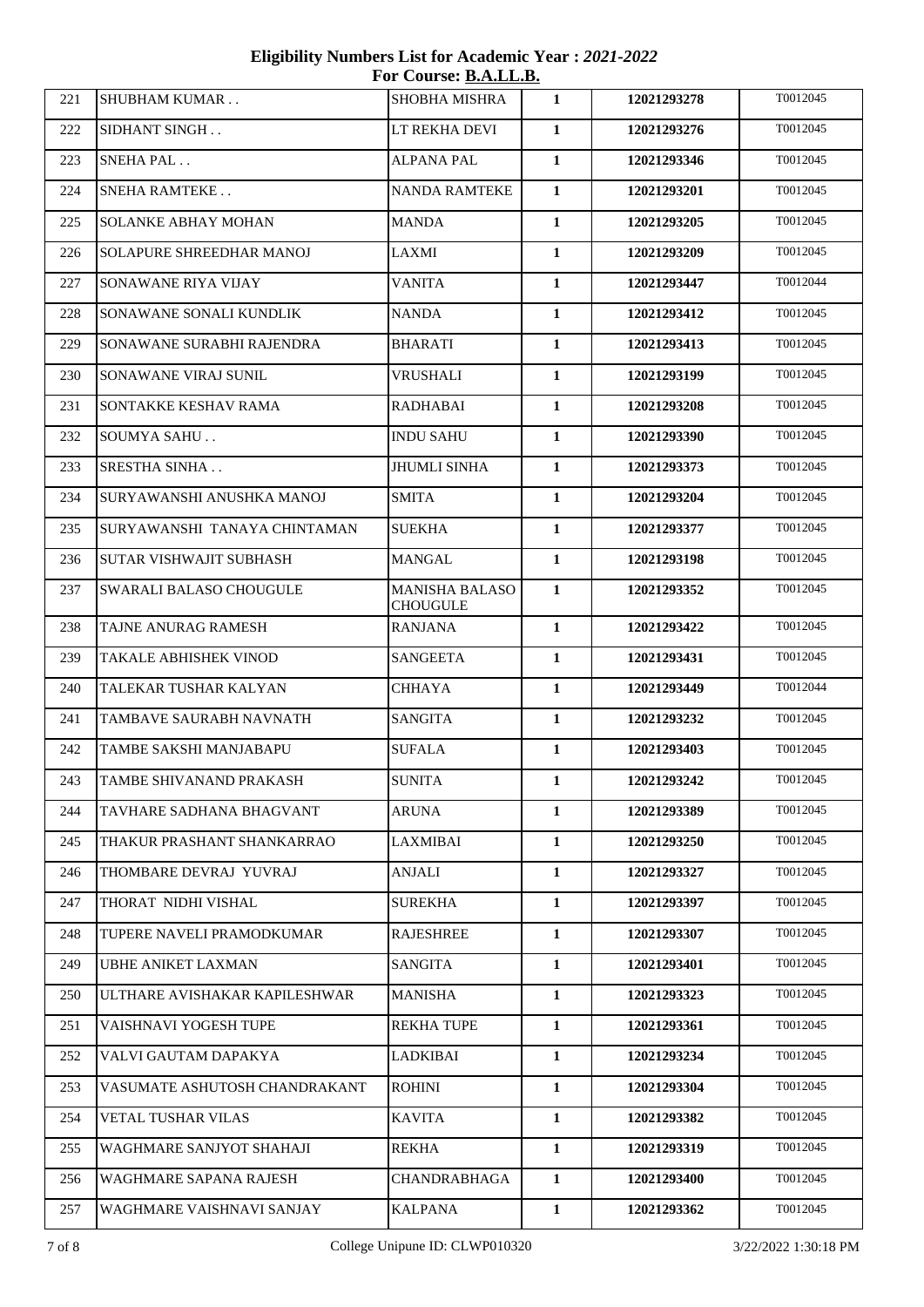| <b>Eligibility Numbers List for Academic Year: 2021-2022</b> |
|--------------------------------------------------------------|
| For Course: B.A.LL.B.                                        |

| 221 | <b>SHUBHAM KUMAR</b>           | <b>SHOBHA MISHRA</b>                     | 1            | 12021293278 | T0012045 |
|-----|--------------------------------|------------------------------------------|--------------|-------------|----------|
| 222 | SIDHANT SINGH                  | LT REKHA DEVI                            | 1            | 12021293276 | T0012045 |
| 223 | <b>SNEHA PAL</b>               | <b>ALPANA PAL</b>                        | $\mathbf{1}$ | 12021293346 | T0012045 |
| 224 | <b>SNEHA RAMTEKE</b>           | <b>NANDA RAMTEKE</b>                     | $\mathbf{1}$ | 12021293201 | T0012045 |
| 225 | SOLANKE ABHAY MOHAN            | <b>MANDA</b>                             | $\mathbf{1}$ | 12021293205 | T0012045 |
| 226 | SOLAPURE SHREEDHAR MANOJ       | <b>LAXMI</b>                             | $\mathbf{1}$ | 12021293209 | T0012045 |
| 227 | SONAWANE RIYA VIJAY            | <b>VANITA</b>                            | $\mathbf{1}$ | 12021293447 | T0012044 |
| 228 | SONAWANE SONALI KUNDLIK        | <b>NANDA</b>                             | $\mathbf{1}$ | 12021293412 | T0012045 |
| 229 | SONAWANE SURABHI RAJENDRA      | <b>BHARATI</b>                           | $\mathbf{1}$ | 12021293413 | T0012045 |
| 230 | SONAWANE VIRAJ SUNIL           | <b>VRUSHALI</b>                          | $\mathbf{1}$ | 12021293199 | T0012045 |
| 231 | SONTAKKE KESHAV RAMA           | <b>RADHABAI</b>                          | $\mathbf{1}$ | 12021293208 | T0012045 |
| 232 | SOUMYA SAHU                    | <b>INDU SAHU</b>                         | $\mathbf{1}$ | 12021293390 | T0012045 |
| 233 | SRESTHA SINHA                  | <b>JHUMLI SINHA</b>                      | $\mathbf{1}$ | 12021293373 | T0012045 |
| 234 | SURYAWANSHI ANUSHKA MANOJ      | <b>SMITA</b>                             | $\mathbf{1}$ | 12021293204 | T0012045 |
| 235 | SURYAWANSHI TANAYA CHINTAMAN   | <b>SUEKHA</b>                            | $\mathbf{1}$ | 12021293377 | T0012045 |
| 236 | SUTAR VISHWAJIT SUBHASH        | <b>MANGAL</b>                            | $\mathbf{1}$ | 12021293198 | T0012045 |
| 237 | SWARALI BALASO CHOUGULE        | <b>MANISHA BALASO</b><br><b>CHOUGULE</b> | $\mathbf{1}$ | 12021293352 | T0012045 |
| 238 | TAJNE ANURAG RAMESH            | <b>RANJANA</b>                           | $\mathbf{1}$ | 12021293422 | T0012045 |
| 239 | TAKALE ABHISHEK VINOD          | <b>SANGEETA</b>                          | $\mathbf{1}$ | 12021293431 | T0012045 |
| 240 | TALEKAR TUSHAR KALYAN          | <b>CHHAYA</b>                            | 1            | 12021293449 | T0012044 |
| 241 | TAMBAVE SAURABH NAVNATH        | <b>SANGITA</b>                           | $\mathbf{1}$ | 12021293232 | T0012045 |
| 242 | <b>TAMBE SAKSHI MANJABAPU</b>  | <b>SUFALA</b>                            | $\mathbf{1}$ | 12021293403 | T0012045 |
| 243 | <b>TAMBE SHIVANAND PRAKASH</b> | <b>SUNITA</b>                            | 1            | 12021293242 | T0012045 |
| 244 | TAVHARE SADHANA BHAGVANT       | <b>ARUNA</b>                             | 1            | 12021293389 | T0012045 |
| 245 | THAKUR PRASHANT SHANKARRAO     | LAXMIBAI                                 | $\mathbf{1}$ | 12021293250 | T0012045 |
| 246 | THOMBARE DEVRAJ YUVRAJ         | ANJALI                                   | 1            | 12021293327 | T0012045 |
| 247 | THORAT NIDHI VISHAL            | <b>SUREKHA</b>                           | 1            | 12021293397 | T0012045 |
| 248 | TUPERE NAVELI PRAMODKUMAR      | <b>RAJESHREE</b>                         | $\mathbf{1}$ | 12021293307 | T0012045 |
| 249 | <b>UBHE ANIKET LAXMAN</b>      | SANGITA                                  | $\mathbf{1}$ | 12021293401 | T0012045 |
| 250 | ULTHARE AVISHAKAR KAPILESHWAR  | <b>MANISHA</b>                           | 1            | 12021293323 | T0012045 |
| 251 | VAISHNAVI YOGESH TUPE          | <b>REKHA TUPE</b>                        | $\mathbf{1}$ | 12021293361 | T0012045 |
| 252 | VALVI GAUTAM DAPAKYA           | <b>LADKIBAI</b>                          | $\mathbf{1}$ | 12021293234 | T0012045 |
| 253 | VASUMATE ASHUTOSH CHANDRAKANT  | <b>ROHINI</b>                            | $\mathbf{1}$ | 12021293304 | T0012045 |
| 254 | VETAL TUSHAR VILAS             | <b>KAVITA</b>                            | $\mathbf{1}$ | 12021293382 | T0012045 |
| 255 | WAGHMARE SANJYOT SHAHAJI       | REKHA                                    | $\mathbf{1}$ | 12021293319 | T0012045 |
| 256 | WAGHMARE SAPANA RAJESH         | CHANDRABHAGA                             | $\mathbf{1}$ | 12021293400 | T0012045 |
| 257 | WAGHMARE VAISHNAVI SANJAY      | <b>KALPANA</b>                           | $\mathbf{1}$ | 12021293362 | T0012045 |